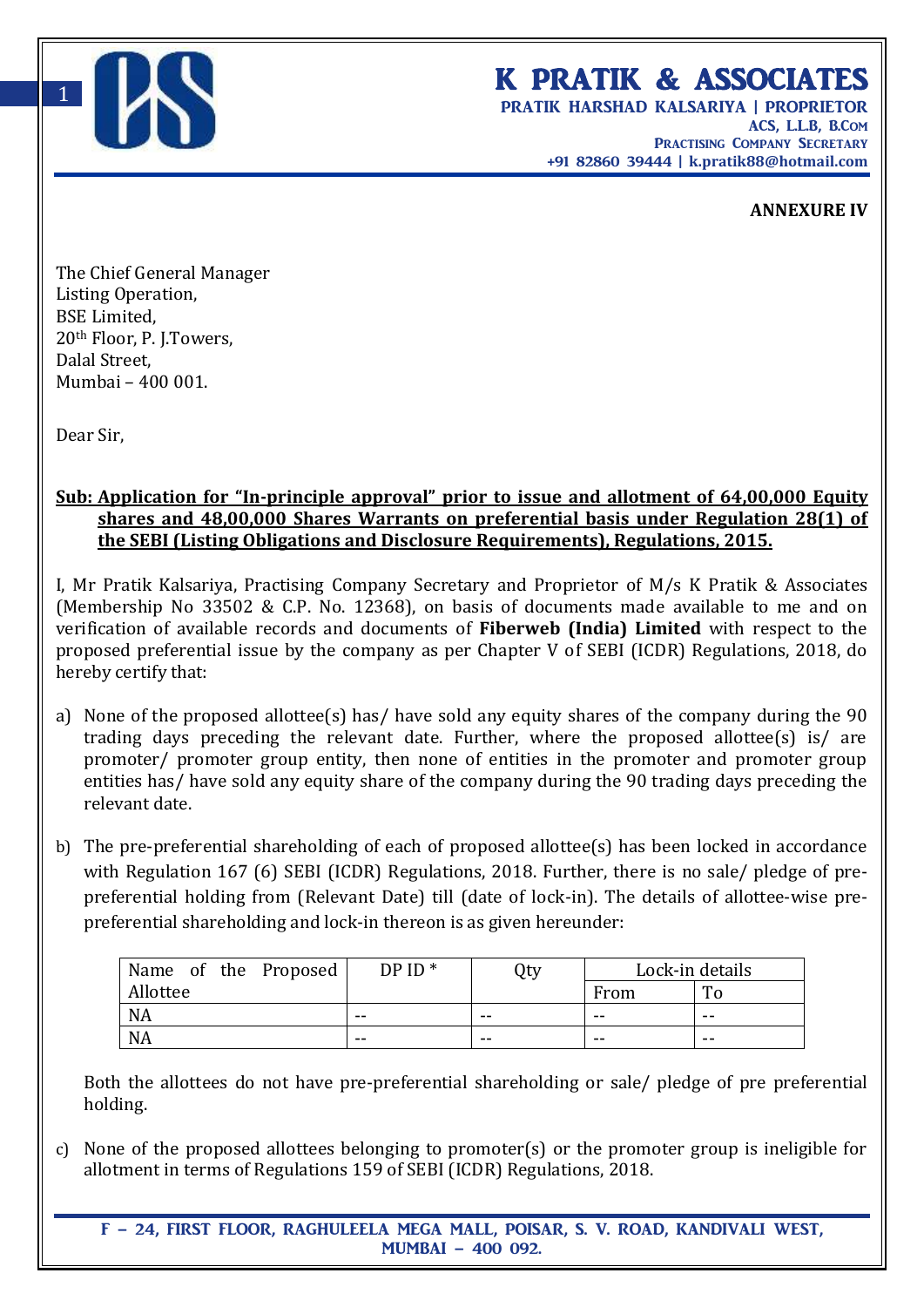

## K PRATIK & ASSOCIATES

PRATIK HARSHAD KALSARIYA | PROPRIETOR ACS, L.L.B, B.Com PRACTISING COMPANY SECRETARY +91 82860 39444 | **k.pratik88@hotmail.com**

## **ANNEXURE IV**

The Chief General Manager Listing Operation, BSE Limited, 20th Floor, P. J.Towers, Dalal Street, Mumbai – 400 001.

Dear Sir,

## **Sub: Application for "In-principle approval" prior to issue and allotment of 64,00,000 Equity shares and 48,00,000 Shares Warrants on preferential basis under Regulation 28(1) of the SEBI (Listing Obligations and Disclosure Requirements), Regulations, 2015.**

I, Mr Pratik Kalsariya, Practising Company Secretary and Proprietor of M/s K Pratik & Associates (Membership No 33502 & C.P. No. 12368), on basis of documents made available to me and on verification of available records and documents of **Fiberweb (India) Limited** with respect to the proposed preferential issue by the company as per Chapter V of SEBI (ICDR) Regulations, 2018, do hereby certify that:

- a) None of the proposed allottee(s) has/ have sold any equity shares of the company during the 90 trading days preceding the relevant date. Further, where the proposed allottee(s) is/ are promoter/ promoter group entity, then none of entities in the promoter and promoter group entities has/ have sold any equity share of the company during the 90 trading days preceding the relevant date.
- b) The pre-preferential shareholding of each of proposed allottee(s) has been locked in accordance with Regulation 167 (6) SEBI (ICDR) Regulations, 2018. Further, there is no sale/ pledge of prepreferential holding from (Relevant Date) till (date of lock-in). The details of allottee-wise prepreferential shareholding and lock-in thereon is as given hereunder:

| Name of the Proposed |  | $DPID*$ | Qty | Lock-in details |    |
|----------------------|--|---------|-----|-----------------|----|
| Allottee             |  |         |     | From            | п, |
| <b>NA</b>            |  | --      | --  | $- -$           | -- |
| <b>NA</b>            |  | --      | --  | --              | -- |

Both the allottees do not have pre-preferential shareholding or sale/ pledge of pre preferential holding.

c) None of the proposed allottees belonging to promoter(s) or the promoter group is ineligible for allotment in terms of Regulations 159 of SEBI (ICDR) Regulations, 2018.

F – 24, FIRST FLOOR, RAGHULEELA MEGA MALL, POISAR, S. V. ROAD, KANDIVALI WEST, MUMBAI – 400 092.